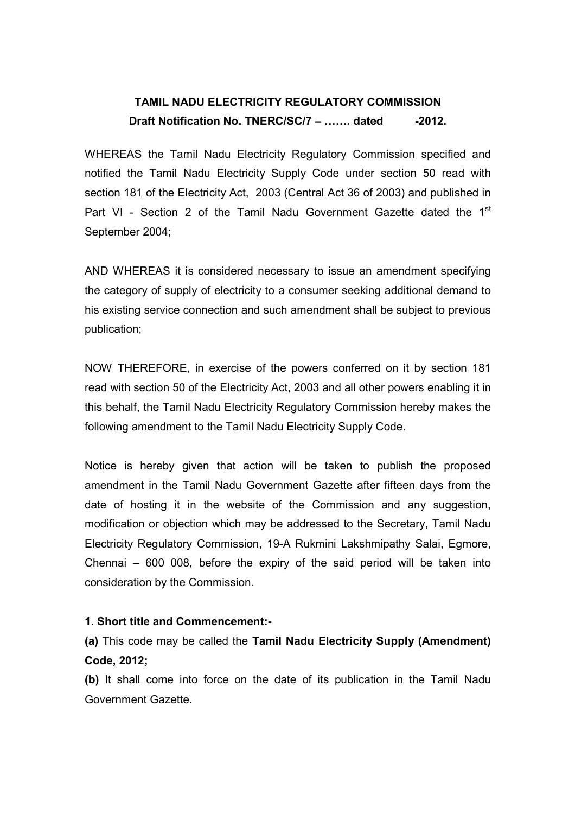## TAMIL NADU ELECTRICITY REGULATORY COMMISSION Draft Notification No. TNERC/SC/7 – ....... dated  $-2012$ .

WHEREAS the Tamil Nadu Electricity Regulatory Commission specified and notified the Tamil Nadu Electricity Supply Code under section 50 read with section 181 of the Electricity Act, 2003 (Central Act 36 of 2003) and published in Part VI - Section 2 of the Tamil Nadu Government Gazette dated the 1<sup>st</sup> September 2004;

AND WHEREAS it is considered necessary to issue an amendment specifying the category of supply of electricity to a consumer seeking additional demand to his existing service connection and such amendment shall be subject to previous publication;

NOW THEREFORE, in exercise of the powers conferred on it by section 181 read with section 50 of the Electricity Act, 2003 and all other powers enabling it in this behalf, the Tamil Nadu Electricity Regulatory Commission hereby makes the following amendment to the Tamil Nadu Electricity Supply Code.

Notice is hereby given that action will be taken to publish the proposed amendment in the Tamil Nadu Government Gazette after fifteen days from the date of hosting it in the website of the Commission and any suggestion, modification or objection which may be addressed to the Secretary, Tamil Nadu Electricity Regulatory Commission, 19-A Rukmini Lakshmipathy Salai, Egmore, Chennai – 600 008, before the expiry of the said period will be taken into consideration by the Commission.

## 1. Short title and Commencement:-

(a) This code may be called the Tamil Nadu Electricity Supply (Amendment) Code, 2012;

(b) It shall come into force on the date of its publication in the Tamil Nadu Government Gazette.